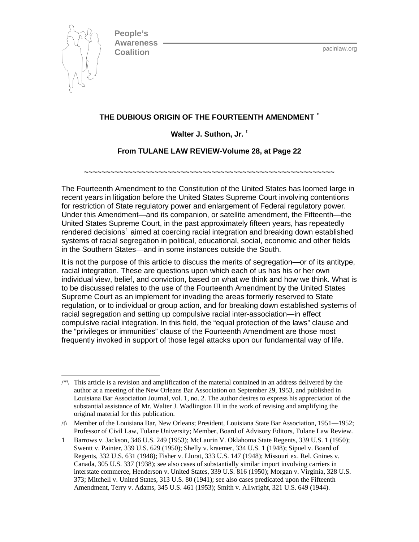

 $\overline{\phantom{a}}$ 

**People's Awareness Coalition** pacintaw.org

# **THE DUBIOUS ORIGIN OF THE FOURTEENTH AMENDMENT [\\*](#page-0-0)**

#### Wal[t](#page-0-1)er J. Suthon, Jr.<sup>t</sup>

### **From TULANE LAW REVIEW-Volume 28, at Page 22**

**~~~~~~~~~~~~~~~~~~~~~~~~~~~~~~~~~~~~~~~~~~~~~~~~~~~~~~~~~** 

The Fourteenth Amendment to the Constitution of the United States has loomed large in recent years in litigation before the United States Supreme Court involving contentions for restriction of State regulatory power and enlargement of Federal regulatory power. Under this Amendment—and its companion, or satellite amendment, the Fifteenth—the United States Supreme Court, in the past approximately fifteen years, has repeatedly rendered decisions<sup>[1](#page-0-2)</sup> aimed at coercing racial integration and breaking down established systems of racial segregation in political, educational, social, economic and other fields in the Southern States—and in some instances outside the South.

It is not the purpose of this article to discuss the merits of segregation—or of its antitype, racial integration. These are questions upon which each of us has his or her own individual view, belief, and conviction, based on what we think and how we think. What is to be discussed relates to the use of the Fourteenth Amendment by the United States Supreme Court as an implement for invading the areas formerly reserved to State regulation, or to individual or group action, and for breaking down established systems of racial segregation and setting up compulsive racial inter-association—in effect compulsive racial integration. In this field, the "equal protection of the laws" clause and the "privileges or immunities" clause of the Fourteenth Amendment are those most frequently invoked in support of those legal attacks upon our fundamental way of life.

<span id="page-0-0"></span><sup>/\*\</sup> This article is a revision and amplification of the material contained in an address delivered by the author at a meeting of the New Orleans Bar Association on September 29, 1953, and published in Louisiana Bar Association Journal, vol. 1, no. 2. The author desires to express his appreciation of the substantial assistance of Mr. Walter J. Wadlington III in the work of revising and amplifying the original material for this publication.

<span id="page-0-1"></span><sup>/</sup>t\ Member of the Louisiana Bar, New Orleans; President, Louisiana State Bar Association, 1951—1952; Professor of Civil Law, Tulane University; Member, Board of Advisory Editors, Tulane Law Review.

<span id="page-0-2"></span><sup>1</sup> Barrows v. Jackson, 346 U.S. 249 (1953); McLaurin V. Oklahoma State Regents, 339 U.S. 1 (1950); Swentt v. Painter, 339 U.S. 629 (1950); Shelly v. kraemer, 334 U.S. 1 (1948); Sipuel v. Board of Regents, 332 U.S. 631 (1948); Fisher v. Llurat, 333 U.S. 147 (1948); Missouri ex. Rel. Gnines v. Canada, 305 U.S. 337 (1938); see also cases of substantially similar import involving carriers in interstate commerce, Henderson v. United States, 339 U.S. 816 (1950); Morgan v. Virginia, 328 U.S. 373; Mitchell v. United States, 313 U.S. 80 (1941); see also cases predicated upon the Fifteenth Amendment, Terry v. Adams, 345 U.S. 461 (1953); Smith v. Allwright, 321 U.S. 649 (1944).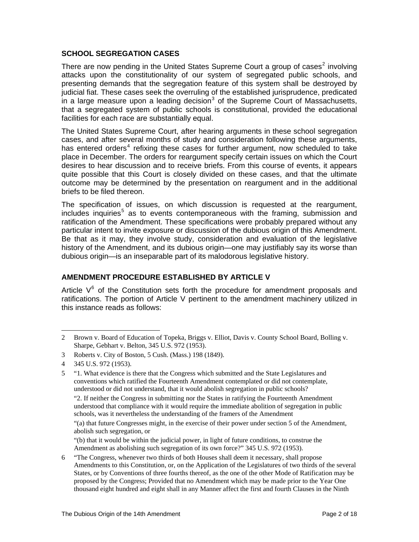#### **SCHOOL SEGREGATION CASES**

There are now pending in the United States Supreme Court a group of cases<sup>[2](#page-1-0)</sup> involving attacks upon the constitutionality of our system of segregated public schools, and presenting demands that the segregation feature of this system shall be destroyed by judicial fiat. These cases seek the overruling of the established jurisprudence, predicated in a large measure upon a leading decision<sup>[3](#page-1-1)</sup> of the Supreme Court of Massachusetts, that a segregated system of public schools is constitutional, provided the educational facilities for each race are substantially equal.

The United States Supreme Court, after hearing arguments in these school segregation cases, and after several months of study and consideration following these arguments, has entered orders<sup>[4](#page-1-2)</sup> refixing these cases for further argument, now scheduled to take place in December. The orders for reargument specify certain issues on which the Court desires to hear discussion and to receive briefs. From this course of events, it appears quite possible that this Court is closely divided on these cases, and that the ultimate outcome may be determined by the presentation on reargument and in the additional briefs to be filed thereon.

The specification of issues, on which discussion is requested at the reargument, includes inquiries<sup>[5](#page-1-3)</sup> as to events contemporaneous with the framing, submission and ratification of the Amendment. These specifications were probably prepared without any particular intent to invite exposure or discussion of the dubious origin of this Amendment. Be that as it may, they involve study, consideration and evaluation of the legislative history of the Amendment, and its dubious origin—one may justifiably say its worse than dubious origin—is an inseparable part of its malodorous legislative history.

# **AMENDMENT PROCEDURE ESTABLISHED BY ARTICLE V**

Article  $V<sup>6</sup>$  $V<sup>6</sup>$  $V<sup>6</sup>$  of the Constitution sets forth the procedure for amendment proposals and ratifications. The portion of Article V pertinent to the amendment machinery utilized in this instance reads as follows:

<span id="page-1-0"></span><sup>2</sup> Brown v. Board of Education of Topeka, Briggs v. Elliot, Davis v. County School Board, Bolling v. Sharpe, Gebhart v. Belton, 345 U.S. 972 (1953).

<span id="page-1-1"></span><sup>3</sup> Roberts v. City of Boston, 5 Cush. (Mass.) 198 (1849).

<span id="page-1-2"></span><sup>4 345</sup> U.S. 972 (1953).

<span id="page-1-3"></span><sup>5 &</sup>quot;1. What evidence is there that the Congress which submitted and the State Legislatures and conventions which ratified the Fourteenth Amendment contemplated or did not contemplate, understood or did not understand, that it would abolish segregation in public schools?

<sup>&</sup>quot;2. If neither the Congress in submitting nor the States in ratifying the Fourteenth Amendment understood that compliance with it would require the immediate abolition of segregation in public schools, was it nevertheless the understanding of the framers of the Amendment

<sup>&</sup>quot;(a) that future Congresses might, in the exercise of their power under section 5 of the Amendment, abolish such segregation, or

<sup>&</sup>quot;(b) that it would be within the judicial power, in light of future conditions, to construe the Amendment as abolishing such segregation of its own force?" 345 U.S. 972 (1953).

<span id="page-1-4"></span><sup>6 &</sup>quot;The Congress, whenever two thirds of both Houses shall deem it necessary, shall propose Amendments to this Constitution, or, on the Application of the Legislatures of two thirds of the several States, or by Conventions of three fourths thereof, as the one of the other Mode of Ratification may be proposed by the Congress; Provided that no Amendment which may be made prior to the Year One thousand eight hundred and eight shall in any Manner affect the first and fourth Clauses in the Ninth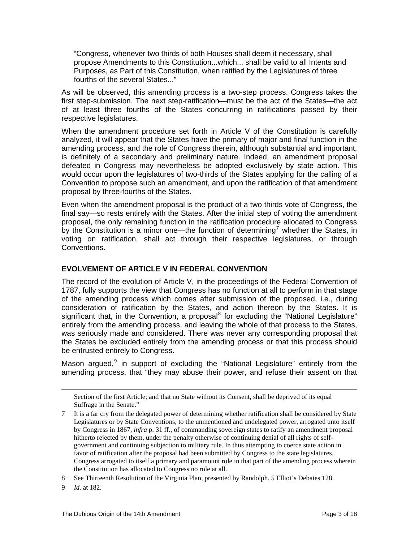"Congress, whenever two thirds of both Houses shall deem it necessary, shall propose Amendments to this Constitution...which... shall be valid to all Intents and Purposes, as Part of this Constitution, when ratified by the Legislatures of three fourths of the several States..."

As will be observed, this amending process is a two-step process. Congress takes the first step-submission. The next step-ratification—must be the act of the States—the act of at least three fourths of the States concurring in ratifications passed by their respective legislatures.

When the amendment procedure set forth in Article V of the Constitution is carefully analyzed, it will appear that the States have the primary of major and final function in the amending process, and the role of Congress therein, although substantial and important, is definitely of a secondary and preliminary nature. Indeed, an amendment proposal defeated in Congress may nevertheless be adopted exclusively by state action. This would occur upon the legislatures of two-thirds of the States applying for the calling of a Convention to propose such an amendment, and upon the ratification of that amendment proposal by three-fourths of the States.

Even when the amendment proposal is the product of a two thirds vote of Congress, the final say—so rests entirely with the States. After the initial step of voting the amendment proposal, the only remaining function in the ratification procedure allocated to Congress by the Constitution is a minor one—the function of determining<sup>[7](#page-2-0)</sup> whether the States, in voting on ratification, shall act through their respective legislatures, or through Conventions.

# **EVOLVEMENT OF ARTICLE V IN FEDERAL CONVENTION**

The record of the evolution of Article V, in the proceedings of the Federal Convention of 1787, fully supports the view that Congress has no function at all to perform in that stage of the amending process which comes after submission of the proposed, i.e., during consideration of ratification by the States, and action thereon by the States. It is significant that, in the Convention, a proposal<sup>[8](#page-2-1)</sup> for excluding the "National Legislature" entirely from the amending process, and leaving the whole of that process to the States, was seriously made and considered. There was never any corresponding proposal that the States be excluded entirely from the amending process or that this process should be entrusted entirely to Congress.

Mason argued,<sup>[9](#page-2-2)</sup> in support of excluding the "National Legislature" entirely from the amending process, that "they may abuse their power, and refuse their assent on that

<span id="page-2-2"></span>9 *Id.* at 182.

Section of the first Article; and that no State without its Consent, shall be deprived of its equal Suffrage in the Senate."

<span id="page-2-0"></span>It is a far cry from the delegated power of determining whether ratification shall be considered by State Legislatures or by State Conventions, to the unmentioned and undelegated power, arrogated unto itself by Congress in 1867, *infra* p. 31 ff., of commanding sovereign states to ratify an amendment proposal hitherto rejected by them, under the penalty otherwise of continuing denial of all rights of selfgovernment and continuing subjection to military rule. In thus attempting to coerce state action in favor of ratification after the proposal had been submitted by Congress to the state legislatures, Congress arrogated to itself a primary and paramount role in that part of the amending process wherein the Constitution has allocated to Congress no role at all.

<span id="page-2-1"></span><sup>8</sup> See Thirteenth Resolution of the Virginia Plan, presented by Randolph. 5 Elliot's Debates 128.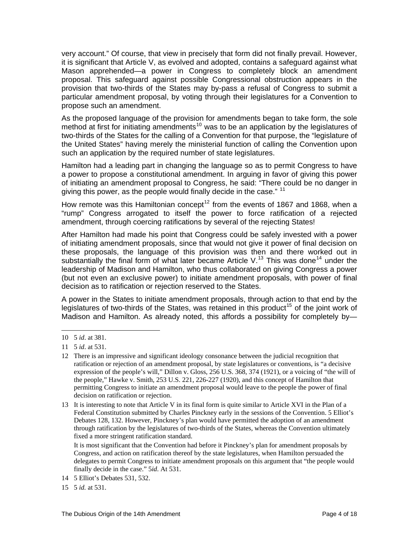very account." Of course, that view in precisely that form did not finally prevail. However, it is significant that Article V, as evolved and adopted, contains a safeguard against what Mason apprehended—a power in Congress to completely block an amendment proposal. This safeguard against possible Congressional obstruction appears in the provision that two-thirds of the States may by-pass a refusal of Congress to submit a particular amendment proposal, by voting through their legislatures for a Convention to propose such an amendment.

As the proposed language of the provision for amendments began to take form, the sole method at first for initiating amendments<sup>[10](#page-3-0)</sup> was to be an application by the legislatures of two-thirds of the States for the calling of a Convention for that purpose, the "legislature of the United States" having merely the ministerial function of calling the Convention upon such an application by the required number of state legislatures.

Hamilton had a leading part in changing the language so as to permit Congress to have a power to propose a constitutional amendment. In arguing in favor of giving this power of initiating an amendment proposal to Congress, he said: "There could be no danger in giving this power, as the people would finally decide in the case." <sup>[11](#page-3-1)</sup>

How remote was this Hamiltonian concept<sup>[12](#page-3-2)</sup> from the events of 1867 and 1868, when a "rump" Congress arrogated to itself the power to force ratification of a rejected amendment, through coercing ratifications by several of the rejecting States!

After Hamilton had made his point that Congress could be safely invested with a power of initiating amendment proposals, since that would not give it power of final decision on these proposals, the language of this provision was then and there worked out in substantially the final form of what later became Article V.<sup>[13](#page-3-3)</sup> This was done<sup>[14](#page-3-4)</sup> under the leadership of Madison and Hamilton, who thus collaborated on giving Congress a power (but not even an exclusive power) to initiate amendment proposals, with power of final decision as to ratification or rejection reserved to the States.

A power in the States to initiate amendment proposals, through action to that end by the legislatures of two-thirds of the States, was retained in this product<sup>[15](#page-3-5)</sup> of the joint work of Madison and Hamilton. As already noted, this affords a possibility for completely by—

<span id="page-3-0"></span><sup>10 5</sup> *id*. at 381.

<span id="page-3-1"></span><sup>11 5</sup> *id*. at 531.

<span id="page-3-2"></span><sup>12</sup> There is an impressive and significant ideology consonance between the judicial recognition that ratification or rejection of an amendment proposal, by state legislatures or conventions, is "a decisive expression of the people's will," Dillon v. Gloss, 256 U.S. 368, 374 (1921), or a voicing of "the will of the people," Hawke v. Smith, 253 U.S. 221, 226-227 (1920), and this concept of Hamilton that permitting Congress to initiate an amendment proposal would leave to the people the power of final decision on ratification or rejection.

<span id="page-3-3"></span><sup>13</sup> It is interesting to note that Article V in its final form is quite similar to Article XVI in the Plan of a Federal Constitution submitted by Charles Pinckney early in the sessions of the Convention. 5 Elliot's Debates 128, 132. However, Pinckney's plan would have permitted the adoption of an amendment through ratification by the legislatures of two-thirds of the States, whereas the Convention ultimately fixed a more stringent ratification standard.

It is most significant that the Convention had before it Pinckney's plan for amendment proposals by Congress, and action on ratification thereof by the state legislatures, when Hamilton persuaded the delegates to permit Congress to initiate amendment proposals on this argument that "the people would finally decide in the case." 5*id*. At 531.

<span id="page-3-4"></span><sup>14 5</sup> Elliot's Debates 531, 532.

<span id="page-3-5"></span><sup>15 5</sup> *id.* at 531.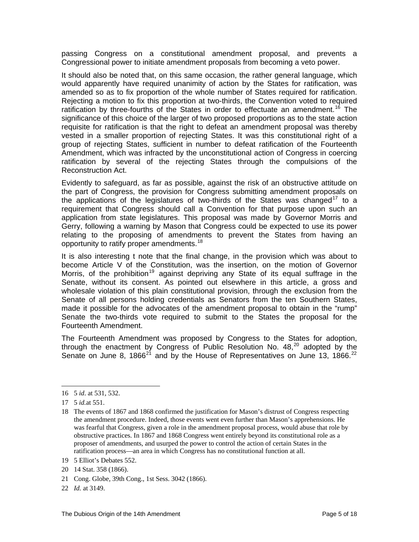passing Congress on a constitutional amendment proposal, and prevents a Congressional power to initiate amendment proposals from becoming a veto power.

It should also be noted that, on this same occasion, the rather general language, which would apparently have required unanimity of action by the States for ratification, was amended so as to fix proportion of the whole number of States required for ratification. Rejecting a motion to fix this proportion at two-thirds, the Convention voted to required ratification by three-fourths of the States in order to effectuate an amendment.<sup>[16](#page-4-0)</sup> The significance of this choice of the larger of two proposed proportions as to the state action requisite for ratification is that the right to defeat an amendment proposal was thereby vested in a smaller proportion of rejecting States. It was this constitutional right of a group of rejecting States, sufficient in number to defeat ratification of the Fourteenth Amendment, which was infracted by the unconstitutional action of Congress in coercing ratification by several of the rejecting States through the compulsions of the Reconstruction Act.

Evidently to safeguard, as far as possible, against the risk of an obstructive attitude on the part of Congress, the provision for Congress submitting amendment proposals on the applications of the legislatures of two-thirds of the States was changed<sup>[17](#page-4-1)</sup> to a requirement that Congress should call a Convention for that purpose upon such an application from state legislatures. This proposal was made by Governor Morris and Gerry, following a warning by Mason that Congress could be expected to use its power relating to the proposing of amendments to prevent the States from having an opportunity to ratify proper amendments.<sup>[18](#page-4-2)</sup>

It is also interesting t note that the final change, in the provision which was about to become Article V of the Constitution, was the insertion, on the motion of Governor Morris, of the prohibition<sup>[19](#page-4-3)</sup> against depriving any State of its equal suffrage in the Senate, without its consent. As pointed out elsewhere in this article, a gross and wholesale violation of this plain constitutional provision, through the exclusion from the Senate of all persons holding credentials as Senators from the ten Southern States, made it possible for the advocates of the amendment proposal to obtain in the "rump" Senate the two-thirds vote required to submit to the States the proposal for the Fourteenth Amendment.

The Fourteenth Amendment was proposed by Congress to the States for adoption, through the enactment by Congress of Public Resolution No.  $48,^{20}$  $48,^{20}$  $48,^{20}$  adopted by the Senate on June 8, 1866 $^{21}$  $^{21}$  $^{21}$  and by the House of Representatives on June 13, 1866. $^{22}$  $^{22}$  $^{22}$ 

 $\overline{a}$ 

- <span id="page-4-3"></span>19 5 Elliot's Debates 552.
- <span id="page-4-4"></span>20 14 Stat. 358 (1866).
- <span id="page-4-5"></span>21 Cong. Globe, 39th Cong., 1st Sess. 3042 (1866).
- <span id="page-4-6"></span>22 *Id.* at 3149.

<span id="page-4-0"></span><sup>16 5</sup> *id*. at 531, 532.

<span id="page-4-1"></span><sup>17 5</sup> *id.*at 551.

<span id="page-4-2"></span><sup>18</sup> The events of 1867 and 1868 confirmed the justification for Mason's distrust of Congress respecting the amendment procedure. Indeed, those events went even further than Mason's apprehensions. He was fearful that Congress, given a role in the amendment proposal process, would abuse that role by obstructive practices. In 1867 and 1868 Congress went entirely beyond its constitutional role as a proposer of amendments, and usurped the power to control the action of certain States in the ratification process—an area in which Congress has no constitutional function at all.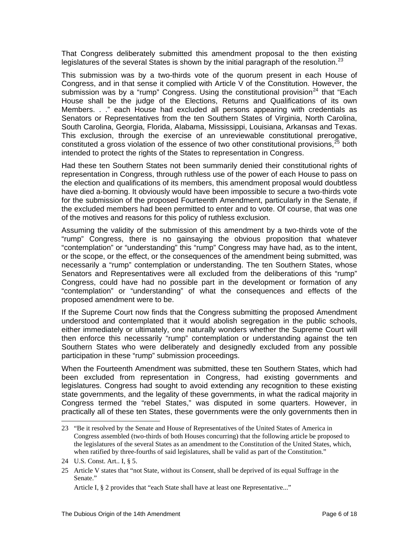That Congress deliberately submitted this amendment proposal to the then existing legislatures of the several States is shown by the initial paragraph of the resolution.<sup>[23](#page-5-0)</sup>

This submission was by a two-thirds vote of the quorum present in each House of Congress, and in that sense it complied with Article V of the Constitution. However, the submission was by a "rump" Congress. Using the constitutional provision<sup>[24](#page-5-1)</sup> that "Each House shall be the judge of the Elections, Returns and Qualifications of its own Members. . ." each House had excluded all persons appearing with credentials as Senators or Representatives from the ten Southern States of Virginia, North Carolina, South Carolina, Georgia, Florida, Alabama, Mississippi, Louisiana, Arkansas and Texas. This exclusion, through the exercise of an unreviewable constitutional prerogative, constituted a gross violation of the essence of two other constitutional provisions.<sup>[25](#page-5-2)</sup> both intended to protect the rights of the States to representation in Congress.

Had these ten Southern States not been summarily denied their constitutional rights of representation in Congress, through ruthless use of the power of each House to pass on the election and qualifications of its members, this amendment proposal would doubtless have died a-borning. It obviously would have been impossible to secure a two-thirds vote for the submission of the proposed Fourteenth Amendment, particularly in the Senate, if the excluded members had been permitted to enter and to vote. Of course, that was one of the motives and reasons for this policy of ruthless exclusion.

Assuming the validity of the submission of this amendment by a two-thirds vote of the "rump" Congress, there is no gainsaying the obvious proposition that whatever "contemplation" or "understanding" this "rump" Congress may have had, as to the intent, or the scope, or the effect, or the consequences of the amendment being submitted, was necessarily a "rump" contemplation or understanding. The ten Southern States, whose Senators and Representatives were all excluded from the deliberations of this "rump" Congress, could have had no possible part in the development or formation of any "contemplation" or "understanding" of what the consequences and effects of the proposed amendment were to be.

If the Supreme Court now finds that the Congress submitting the proposed Amendment understood and contemplated that it would abolish segregation in the public schools, either immediately or ultimately, one naturally wonders whether the Supreme Court will then enforce this necessarily "rump" contemplation or understanding against the ten Southern States who were deliberately and designedly excluded from any possible participation in these "rump" submission proceedings.

When the Fourteenth Amendment was submitted, these ten Southern States, which had been excluded from representation in Congress, had existing governments and legislatures. Congress had sought to avoid extending any recognition to these existing state governments, and the legality of these governments, in what the radical majority in Congress termed the "rebel States," was disputed in some quarters. However, in practically all of these ten States, these governments were the only governments then in

<span id="page-5-0"></span><sup>23 &</sup>quot;Be it resolved by the Senate and House of Representatives of the United States of America in Congress assembled (two-thirds of both Houses concurring) that the following article be proposed to the legislatures of the several States as an amendment to the Constitution of the United States, which, when ratified by three-fourths of said legislatures, shall be valid as part of the Constitution."

<span id="page-5-1"></span><sup>24</sup> U.S. Const. Art.. I, § 5.

<span id="page-5-2"></span><sup>25</sup> Article V states that "not State, without its Consent, shall be deprived of its equal Suffrage in the Senate."

Article I, § 2 provides that "each State shall have at least one Representative..."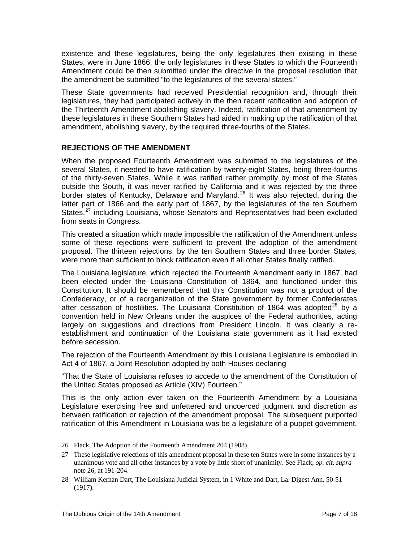existence and these legislatures, being the only legislatures then existing in these States, were in June 1866, the only legislatures in these States to which the Fourteenth Amendment could be then submitted under the directive in the proposal resolution that the amendment be submitted "to the legislatures of the several states."

These State governments had received Presidential recognition and, through their legislatures, they had participated actively in the then recent ratification and adoption of the Thirteenth Amendment abolishing slavery. Indeed, ratification of that amendment by these legislatures in these Southern States had aided in making up the ratification of that amendment, abolishing slavery, by the required three-fourths of the States.

# **REJECTIONS OF THE AMENDMENT**

When the proposed Fourteenth Amendment was submitted to the legislatures of the several States, it needed to have ratification by twenty-eight States, being three-fourths of the thirty-seven States. While it was ratified rather promptly by most of the States outside the South, it was never ratified by California and it was rejected by the three border states of Kentucky, Delaware and Maryland.<sup>[26](#page-6-0)</sup> It was also rejected, during the latter part of 1866 and the early part of 1867, by the legislatures of the ten Southern States,<sup>[27](#page-6-1)</sup> including Louisiana, whose Senators and Representatives had been excluded from seats in Congress.

This created a situation which made impossible the ratification of the Amendment unless some of these rejections were sufficient to prevent the adoption of the amendment proposal. The thirteen rejections, by the ten Southern States and three border States, were more than sufficient to block ratification even if all other States finally ratified.

The Louisiana legislature, which rejected the Fourteenth Amendment early in 1867, had been elected under the Louisiana Constitution of 1864, and functioned under this Constitution. It should be remembered that this Constitution was not a product of the Confederacy, or of a reorganization of the State government by former Confederates after cessation of hostilities. The Louisiana Constitution of 1864 was adopted<sup>[28](#page-6-2)</sup> by a convention held in New Orleans under the auspices of the Federal authorities, acting largely on suggestions and directions from President Lincoln. It was clearly a reestablishment and continuation of the Louisiana state government as it had existed before secession.

The rejection of the Fourteenth Amendment by this Louisiana Legislature is embodied in Act 4 of 1867, a Joint Resolution adopted by both Houses declaring

"That the State of Louisiana refuses to accede to the amendment of the Constitution of the United States proposed as Article (XIV) Fourteen."

This is the only action ever taken on the Fourteenth Amendment by a Louisiana Legislature exercising free and unfettered and uncoerced judgment and discretion as between ratification or rejection of the amendment proposal. The subsequent purported ratification of this Amendment in Louisiana was be a legislature of a puppet government,

l

<span id="page-6-0"></span><sup>26</sup> Flack, The Adoption of the Fourteenth Amendment 204 (1908).

<span id="page-6-1"></span><sup>27</sup> These legislative rejections of this amendment proposal in these ten States were in some instances by a unanimous vote and all other instances by a vote by little short of unanimity. See Flack, *op. cit*. *supra* note 26, at 191-204.

<span id="page-6-2"></span><sup>28</sup> William Kernan Dart, The Louisiana Judicial System, in 1 White and Dart, La. Digest Ann. 50-51 (1917).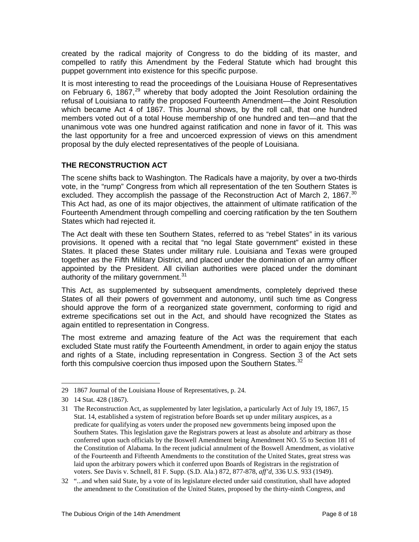created by the radical majority of Congress to do the bidding of its master, and compelled to ratify this Amendment by the Federal Statute which had brought this puppet government into existence for this specific purpose.

It is most interesting to read the proceedings of the Louisiana House of Representatives on February 6, 1867, $^{29}$  $^{29}$  $^{29}$  whereby that body adopted the Joint Resolution ordaining the refusal of Louisiana to ratify the proposed Fourteenth Amendment—the Joint Resolution which became Act 4 of 1867. This Journal shows, by the roll call, that one hundred members voted out of a total House membership of one hundred and ten—and that the unanimous vote was one hundred against ratification and none in favor of it. This was the last opportunity for a free and uncoerced expression of views on this amendment proposal by the duly elected representatives of the people of Louisiana.

# **THE RECONSTRUCTION ACT**

The scene shifts back to Washington. The Radicals have a majority, by over a two-thirds vote, in the "rump" Congress from which all representation of the ten Southern States is excluded. They accomplish the passage of the Reconstruction Act of March 2, 1867.<sup>[30](#page-7-1)</sup> This Act had, as one of its major objectives, the attainment of ultimate ratification of the Fourteenth Amendment through compelling and coercing ratification by the ten Southern States which had rejected it.

The Act dealt with these ten Southern States, referred to as "rebel States" in its various provisions. It opened with a recital that "no legal State government" existed in these States. It placed these States under military rule. Louisiana and Texas were grouped together as the Fifth Military District, and placed under the domination of an army officer appointed by the President. All civilian authorities were placed under the dominant authority of the military government.<sup>[31](#page-7-2)</sup>

This Act, as supplemented by subsequent amendments, completely deprived these States of all their powers of government and autonomy, until such time as Congress should approve the form of a reorganized state government, conforming to rigid and extreme specifications set out in the Act, and should have recognized the States as again entitled to representation in Congress.

The most extreme and amazing feature of the Act was the requirement that each excluded State must ratify the Fourteenth Amendment, in order to again enjoy the status and rights of a State, including representation in Congress. Section 3 of the Act sets forth this compulsive coercion thus imposed upon the Southern States.<sup>[32](#page-7-3)</sup>

<span id="page-7-0"></span><sup>29 1867</sup> Journal of the Louisiana House of Representatives, p. 24.

<span id="page-7-1"></span><sup>30 14</sup> Stat. 428 (1867).

<span id="page-7-2"></span><sup>31</sup> The Reconstruction Act, as supplemented by later legislation, a particularly Act of July 19, 1867, 15 Stat. 14, established a system of registration before Boards set up under military auspices, as a predicate for qualifying as voters under the proposed new governments being imposed upon the Southern States. This legislation gave the Registrars powers at least as absolute and arbitrary as those conferred upon such officials by the Boswell Amendment being Amendment NO. 55 to Section 181 of the Constitution of Alabama. In the recent judicial annulment of the Boswell Amendment, as violative of the Fourteenth and Fifteenth Amendments to the constitution of the United States, great stress was laid upon the arbitrary powers which it conferred upon Boards of Registrars in the registration of voters. See Davis v. Schnell, 81 F. Supp. (S.D. Ala.) 872, 877-878, *aff'd,* 336 U.S. 933 (1949).

<span id="page-7-3"></span><sup>32 &</sup>quot;...and when said State, by a vote of its legislature elected under said constitution, shall have adopted the amendment to the Constitution of the United States, proposed by the thirty-ninth Congress, and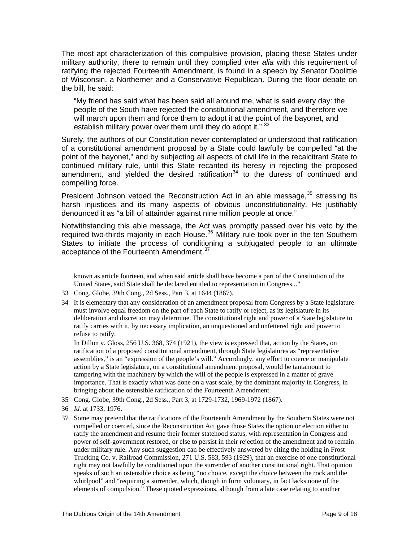The most apt characterization of this compulsive provision, placing these States under military authority, there to remain until they complied *inter alia* with this requirement of ratifying the rejected Fourteenth Amendment, is found in a speech by Senator Doolittle of Wisconsin, a Northerner and a Conservative Republican. During the floor debate on the bill, he said:

"My friend has said what has been said all around me, what is said every day: the people of the South have rejected the constitutional amendment, and therefore we will march upon them and force them to adopt it at the point of the bayonet, and establish military power over them until they do adopt it." [33](#page-8-0)

Surely, the authors of our Constitution never contemplated or understood that ratification of a constitutional amendment proposal by a State could lawfully be compelled "at the point of the bayonet," and by subjecting all aspects of civil life in the recalcitrant State to continued military rule, until this State recanted its heresy in rejecting the proposed amendment, and yielded the desired ratification<sup>[34](#page-8-1)</sup> to the duress of continued and compelling force.

President Johnson vetoed the Reconstruction Act in an able message,  $35$  stressing its harsh injustices and its many aspects of obvious unconstitutionality. He justifiably denounced it as "a bill of attainder against nine million people at once."

Notwithstanding this able message, the Act was promptly passed over his veto by the required two-thirds majority in each House.<sup>[36](#page-8-3)</sup> Military rule took over in the ten Southern States to initiate the process of conditioning a subjugated people to an ultimate acceptance of the Fourteenth Amendment.<sup>[37](#page-8-4)</sup>

known as article fourteen, and when said article shall have become a part of the Constitution of the United States, said State shall be declared entitled to representation in Congress..."

 In Dillon v. Gloss, 256 U.S. 368, 374 (1921), the view is expressed that, action by the States, on ratification of a proposed constitutional amendment, through State legislatures as "representative assemblies," is an "expression of the people's will." Accordingly, any effort to coerce or manipulate action by a State legislature, on a constitutional amendment proposal, would be tantamount to tampering with the machinery by which the will of the people is expressed in a matter of grave importance. That is exactly what was done on a vast scale, by the dominant majority in Congress, in bringing about the ostensible ratification of the Fourteenth Amendment.

<span id="page-8-2"></span>35 Cong. Globe, 39th Cong., 2d Sess., Part 3, at 1729-1732, 1969-1972 (1867).

 $\overline{\phantom{a}}$ 

<span id="page-8-4"></span>37 Some may pretend that the ratifications of the Fourteenth Amendment by the Southern States were not compelled or coerced, since the Reconstruction Act gave those States the option or election either to ratify the amendment and resume their former statehood status, with representation in Congress and power of self-government restored, or else to persist in their rejection of the amendment and to remain under military rule. Any such suggestion can be effectively answered by citing the holding in Frost Trucking Co. v. Railroad Commission, 271 U.S. 583, 593 (1929), that an exercise of one constitutional right may not lawfully be conditioned upon the surrender of another constitutional right. That opinion speaks of such an ostensible choice as being "no choice, except the choice between the rock and the whirlpool" and "requiring a surrender, which, though in form voluntary, in fact lacks none of the elements of compulsion." These quoted expressions, although from a late case relating to another

<span id="page-8-0"></span><sup>33</sup> Cong. Globe, 39th Cong., 2d Sess., Part 3, at 1644 (1867).

<span id="page-8-1"></span><sup>34</sup> It is elementary that any consideration of an amendment proposal from Congress by a State legislature must involve equal freedom on the part of each State to ratify or reject, as its legislature in its deliberation and discretion may determine. The constitutional right and power of a State legislature to ratify carries with it, by necessary implication, an unquestioned and unfettered right and power to refuse to ratify.

<span id="page-8-3"></span><sup>36</sup> *Id.* at 1733, 1976.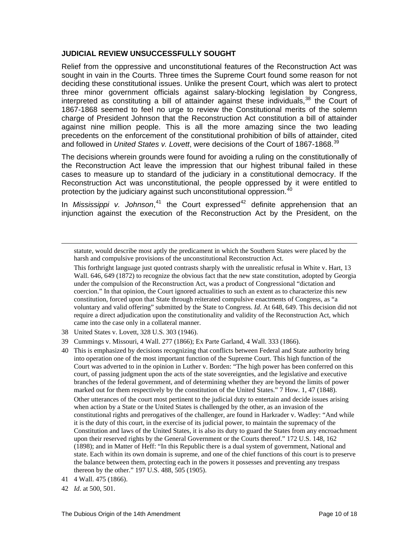#### **JUDICIAL REVIEW UNSUCCESSFULLY SOUGHT**

Relief from the oppressive and unconstitutional features of the Reconstruction Act was sought in vain in the Courts. Three times the Supreme Court found some reason for not deciding these constitutional issues. Unlike the present Court, which was alert to protect three minor government officials against salary-blocking legislation by Congress, interpreted as constituting a bill of attainder against these individuals,  $38$  the Court of 1867-1868 seemed to feel no urge to review the Constitutional merits of the solemn charge of President Johnson that the Reconstruction Act constitution a bill of attainder against nine million people. This is all the more amazing since the two leading precedents on the enforcement of the constitutional prohibition of bills of attainder, cited and followed in *United States v. Lovett*, were decisions of the Court of 1867-1868.<sup>[39](#page-9-1)</sup>

The decisions wherein grounds were found for avoiding a ruling on the constitutionally of the Reconstruction Act leave the impression that our highest tribunal failed in these cases to measure up to standard of the judiciary in a constitutional democracy. If the Reconstruction Act was unconstitutional, the people oppressed by it were entitled to protection by the judiciary against such unconstitutional oppression.<sup>4</sup>

In *Mississippi v. Johnson*,<sup>[41](#page-9-3)</sup> the Court expressed<sup>[42](#page-9-4)</sup> definite apprehension that an injunction against the execution of the Reconstruction Act by the President, on the

statute, would describe most aptly the predicament in which the Southern States were placed by the harsh and compulsive provisions of the unconstitutional Reconstruction Act.

 This forthright language just quoted contrasts sharply with the unrealistic refusal in White v. Hart, 13 Wall. 646, 649 (1872) to recognize the obvious fact that the new state constitution, adopted by Georgia under the compulsion of the Reconstruction Act, was a product of Congressional "dictation and coercion." In that opinion, the Court ignored actualities to such an extent as to characterize this new constitution, forced upon that State through reiterated compulsive enactments of Congress, as "a voluntary and valid offering" submitted by the State to Congress. *Id*. At 648, 649. This decision did not require a direct adjudication upon the constitutionality and validity of the Reconstruction Act, which came into the case only in a collateral manner.

- <span id="page-9-0"></span>38 United States v. Lovett, 328 U.S. 303 (1946).
- <span id="page-9-1"></span>39 Cummings v. Missouri, 4 Wall. 277 (1866); Ex Parte Garland, 4 Wall. 333 (1866).
- <span id="page-9-2"></span>40 This is emphasized by decisions recognizing that conflicts between Federal and State authority bring into operation one of the most important function of the Supreme Court. This high function of the Court was adverted to in the opinion in Luther v. Borden: "The high power has been conferred on this court, of passing judgment upon the acts of the state sovereignties, and the legislative and executive branches of the federal government, and of determining whether they are beyond the limits of power marked out for them respectively by the constitution of the United States." 7 How. 1, 47 (1848). Other utterances of the court most pertinent to the judicial duty to entertain and decide issues arising when action by a State or the United States is challenged by the other, as an invasion of the constitutional rights and prerogatives of the challenger, are found in Harkrader v. Wadley: "And while it is the duty of this court, in the exercise of its judicial power, to maintain the supremacy of the Constitution and laws of the United States, it is also its duty to guard the States from any encroachment upon their reserved rights by the General Government or the Courts thereof." 172 U.S. 148, 162 (1898); and in Matter of Heff: "In this Republic there is a dual system of government, National and state. Each within its own domain is supreme, and one of the chief functions of this court is to preserve the balance between them, protecting each in the powers it possesses and preventing any trespass thereon by the other." 197 U.S. 488, 505 (1905).
- <span id="page-9-3"></span>41 4 Wall. 475 (1866).
- <span id="page-9-4"></span>42 *Id*. at 500, 501.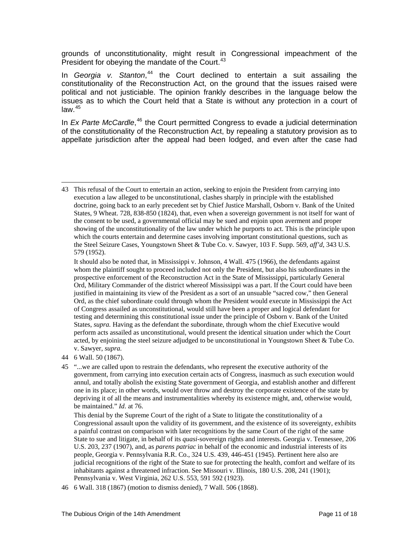grounds of unconstitutionality, might result in Congressional impeachment of the President for obeying the mandate of the Court.<sup>[43](#page-10-0)</sup>

In *Georgia v. Stanton*, [44](#page-10-1) the Court declined to entertain a suit assailing the constitutionality of the Reconstruction Act, on the ground that the issues raised were political and not justiciable. The opinion frankly describes in the language below the issues as to which the Court held that a State is without any protection in a court of law. $45$ 

In *Ex Parte McCardle*,<sup>[46](#page-10-3)</sup> the Court permitted Congress to evade a judicial determination of the constitutionality of the Reconstruction Act, by repealing a statutory provision as to appellate jurisdiction after the appeal had been lodged, and even after the case had

<span id="page-10-0"></span> $\overline{a}$ 43 This refusal of the Court to entertain an action, seeking to enjoin the President from carrying into execution a law alleged to be unconstitutional, clashes sharply in principle with the established doctrine, going back to an early precedent set by Chief Justice Marshall, Osborn v. Bank of the United States, 9 Wheat. 728, 838-850 (1824), that, even when a sovereign government is not itself for want of the consent to be used, a governmental official may be sued and enjoin upon averment and proper showing of the unconstitutionality of the law under which he purports to act. This is the principle upon which the courts entertain and determine cases involving important constitutional questions, such as the Steel Seizure Cases, Youngstown Sheet & Tube Co. v. Sawyer, 103 F. Supp. 569, *aff'd*, 343 U.S. 579 (1952).

It should also be noted that, in Mississippi v. Johnson, 4 Wall. 475 (1966), the defendants against whom the plaintiff sought to proceed included not only the President, but also his subordinates in the prospective enforcement of the Reconstruction Act in the State of Mississippi, particularly General Ord, Military Commander of the district whereof Mississippi was a part. If the Court could have been justified in maintaining its view of the President as a sort of an unsuable "sacred cow," then General Ord, as the chief subordinate could through whom the President would execute in Mississippi the Act of Congress assailed as unconstitutional, would still have been a proper and logical defendant for testing and determining this constitutional issue under the principle of Osborn v. Bank of the United States, *supra.* Having as the defendant the subordinate, through whom the chief Executive would perform acts assailed as unconstitutional, would present the identical situation under which the Court acted, by enjoining the steel seizure adjudged to be unconstitutional in Youngstown Sheet & Tube Co. v. Sawyer, *supra.* 

<span id="page-10-1"></span><sup>44 6</sup> Wall. 50 (1867).

<span id="page-10-2"></span><sup>45 &</sup>quot;...we are called upon to restrain the defendants, who represent the executive authority of the government, from carrying into execution certain acts of Congress, inasmuch as such execution would annul, and totally abolish the existing State government of Georgia, and establish another and different one in its place; in other words, would over throw and destroy the corporate existence of the state by depriving it of all the means and instrumentalities whereby its existence might, and, otherwise would, be maintained." *Id*. at 76.

This denial by the Supreme Court of the right of a State to litigate the constitutionality of a Congressional assault upon the validity of its government, and the existence of its sovereignty, exhibits a painful contrast on comparison with later recognitions by the same Court of the right of the same State to sue and litigate, in behalf of its *quasi-*sovereign rights and interests. Georgia v. Tennessee, 206 U.S. 203, 237 (1907), and, as *parens patriac* in behalf of the economic and industrial interests of its people, Georgia v. Pennsylvania R.R. Co., 324 U.S. 439, 446-451 (1945). Pertinent here also are judicial recognitions of the right of the State to sue for protecting the health, comfort and welfare of its inhabitants against a threatened infraction. See Missouri v. Illinois, 180 U.S. 208, 241 (1901); Pennsylvania v. West Virginia, 262 U.S. 553, 591 592 (1923).

<span id="page-10-3"></span><sup>46 6</sup> Wall. 318 (1867) (motion to dismiss denied), 7 Wall. 506 (1868).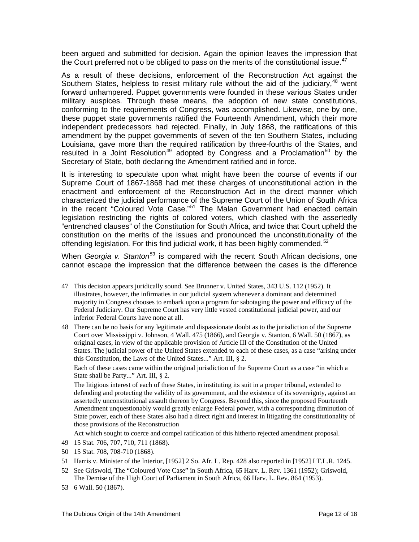been argued and submitted for decision. Again the opinion leaves the impression that the Court preferred not o be obliged to pass on the merits of the constitutional issue.<sup>[47](#page-11-0)</sup>

As a result of these decisions, enforcement of the Reconstruction Act against the Southern States, helpless to resist military rule without the aid of the judiciary,<sup>[48](#page-11-1)</sup> went forward unhampered. Puppet governments were founded in these various States under military auspices. Through these means, the adoption of new state constitutions, conforming to the requirements of Congress, was accomplished. Likewise, one by one, these puppet state governments ratified the Fourteenth Amendment, which their more independent predecessors had rejected. Finally, in July 1868, the ratifications of this amendment by the puppet governments of seven of the ten Southern States, including Louisiana, gave more than the required ratification by three-fourths of the States, and resulted in a Joint Resolution<sup>[49](#page-11-2)</sup> adopted by Congress and a Proclamation<sup>[50](#page-11-3)</sup> by the Secretary of State, both declaring the Amendment ratified and in force.

It is interesting to speculate upon what might have been the course of events if our Supreme Court of 1867-1868 had met these charges of unconstitutional action in the enactment and enforcement of the Reconstruction Act in the direct manner which characterized the judicial performance of the Supreme Court of the Union of South Africa in the recent "Coloured Vote Case."<sup>[51](#page-11-4)</sup> The Malan Government had enacted certain legislation restricting the rights of colored voters, which clashed with the assertedly "entrenched clauses" of the Constitution for South Africa, and twice that Court upheld the constitution on the merits of the issues and pronounced the unconstitutionality of the offending legislation. For this find judicial work, it has been highly commended. $52$ 

When *Georgia v. Stanton[53](#page-11-6)* is compared with the recent South African decisions, one cannot escape the impression that the difference between the cases is the difference

 Each of these cases came within the original jurisdiction of the Supreme Court as a case "in which a State shall be Party..." Art. III, § 2.

Act which sought to coerce and compel ratification of this hitherto rejected amendment proposal.

- <span id="page-11-4"></span>51 Harris v. Minister of the Interior, [1952] 2 So. Afr. L. Rep. 428 also reported in [1952] I T.L.R. 1245.
- <span id="page-11-5"></span>52 See Griswold, The "Coloured Vote Case" in South Africa, 65 Harv. L. Rev. 1361 (1952); Griswold, The Demise of the High Court of Parliament in South Africa, 66 Harv. L. Rev. 864 (1953).
- <span id="page-11-6"></span>53 6 Wall. 50 (1867).

<span id="page-11-0"></span><sup>47</sup> This decision appears juridically sound. See Brunner v. United States, 343 U.S. 112 (1952). It illustrates, however, the infirmaties in our judicial system whenever a dominant and determined majority in Congress chooses to embark upon a program for sabotaging the power and efficacy of the Federal Judiciary. Our Supreme Court has very little vested constitutional judicial power, and our inferior Federal Courts have none at all.

<span id="page-11-1"></span><sup>48</sup> There can be no basis for any legitimate and dispassionate doubt as to the jurisdiction of the Supreme Court over Mississippi v. Johnson, 4 Wall. 475 (1866), and Georgia v. Stanton, 6 Wall. 50 (1867), as original cases, in view of the applicable provision of Article III of the Constitution of the United States. The judicial power of the United States extended to each of these cases, as a case "arising under this Constitution, the Laws of the United States..." Art. III, § 2.

The litigious interest of each of these States, in instituting its suit in a proper tribunal, extended to defending and protecting the validity of its government, and the existence of its sovereignty, against an assertedly unconstitutional assault thereon by Congress. Beyond this, since the proposed Fourteenth Amendment unquestionably would greatly enlarge Federal power, with a corresponding diminution of State power, each of these States also had a direct right and interest in litigating the constitutionality of those provisions of the Reconstruction

<span id="page-11-2"></span><sup>49 15</sup> Stat. 706, 707, 710, 711 (1868).

<span id="page-11-3"></span><sup>50 15</sup> Stat. 708, 708-710 (1868).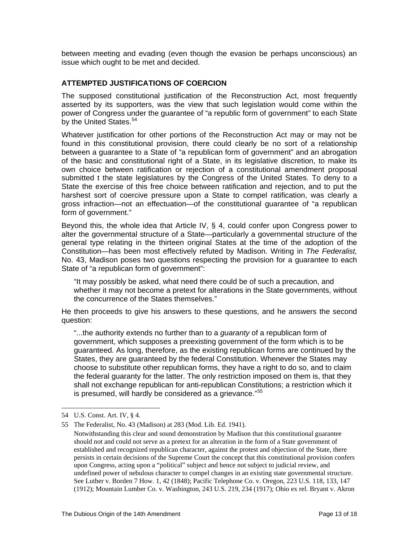between meeting and evading (even though the evasion be perhaps unconscious) an issue which ought to be met and decided.

### **ATTEMPTED JUSTIFICATIONS OF COERCION**

The supposed constitutional justification of the Reconstruction Act, most frequently asserted by its supporters, was the view that such legislation would come within the power of Congress under the guarantee of "a republic form of government" to each State by the United States.<sup>[54](#page-12-0)</sup>

Whatever justification for other portions of the Reconstruction Act may or may not be found in this constitutional provision, there could clearly be no sort of a relationship between a guarantee to a State of "a republican form of government" and an abrogation of the basic and constitutional right of a State, in its legislative discretion, to make its own choice between ratification or rejection of a constitutional amendment proposal submitted t the state legislatures by the Congress of the United States. To deny to a State the exercise of this free choice between ratification and rejection, and to put the harshest sort of coercive pressure upon a State to compel ratification, was clearly a gross infraction—not an effectuation—of the constitutional guarantee of "a republican form of government."

Beyond this, the whole idea that Article IV, § 4, could confer upon Congress power to alter the governmental structure of a State—particularly a governmental structure of the general type relating in the thirteen original States at the time of the adoption of the Constitution—has been most effectively refuted by Madison. Writing in *The Federalist,* No. 43, Madison poses two questions respecting the provision for a guarantee to each State of "a republican form of government":

"It may possibly be asked, what need there could be of such a precaution, and whether it may not become a pretext for alterations in the State governments, without the concurrence of the States themselves."

He then proceeds to give his answers to these questions, and he answers the second question:

"...the authority extends no further than to a *guaranty* of a republican form of government, which supposes a preexisting government of the form which is to be guaranteed. As long, therefore, as the existing republican forms are continued by the States, they are guaranteed by the federal Constitution. Whenever the States may choose to substitute other republican forms, they have a right to do so, and to claim the federal guaranty for the latter. The only restriction imposed on them is, that they shall not exchange republican for anti-republican Constitutions; a restriction which it is presumed, will hardly be considered as a grievance."<sup>[55](#page-12-1)</sup>

<span id="page-12-0"></span><sup>54</sup> U.S. Const. Art. IV, § 4.

<span id="page-12-1"></span><sup>55</sup> The Federalist, No. 43 (Madison) at 283 (Mod. Lib. Ed. 1941).

Notwithstanding this clear and sound demonstration by Madison that this constitutional guarantee should not and could not serve as a pretext for an alteration in the form of a State government of established and recognized republican character, against the protest and objection of the State, there persists in certain decisions of the Supreme Court the concept that this constitutional provision confers upon Congress, acting upon a "political" subject and hence not subject to judicial review, and undefined power of nebulous character to compel changes in an existing state governmental structure. See Luther v. Borden 7 How. 1, 42 (1848); Pacific Telephone Co. v. Oregon, 223 U.S. 118, 133, 147 (1912); Mountain Lumber Co. v. Washington, 243 U.S. 219, 234 (1917); Ohio ex rel. Bryant v. Akron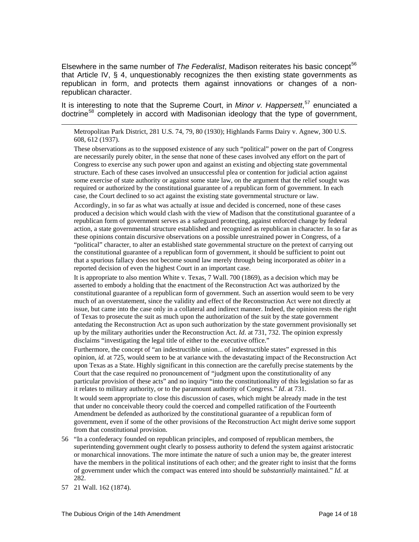Elsewhere in the same number of *The Federalist*, Madison reiterates his basic concept<sup>[56](#page-13-0)</sup> that Article IV, § 4, unquestionably recognizes the then existing state governments as republican in form, and protects them against innovations or changes of a nonrepublican character.

It is interesting to note that the Supreme Court, in *Minor v. Happersett*, [57](#page-13-1) enunciated a doctrine<sup>[58](#page-13-2)</sup> completely in accord with Madisonian ideology that the type of government,

Metropolitan Park District, 281 U.S. 74, 79, 80 (1930); Highlands Farms Dairy v. Agnew, 300 U.S. 608, 612 (1937).

 These observations as to the supposed existence of any such "political" power on the part of Congress are necessarily purely obiter, in the sense that none of these cases involved any effort on the part of Congress to exercise any such power upon and against an existing and objecting state governmental structure. Each of these cases involved an unsuccessful plea or contention for judicial action against some exercise of state authority or against some state law, on the argument that the relief sought was required or authorized by the constitutional guarantee of a republican form of government. In each case, the Court declined to so act against the existing state governmental structure or law.

 Accordingly, in so far as what was actually at issue and decided is concerned, none of these cases produced a decision which would clash with the view of Madison that the constitutional guarantee of a republican form of government serves as a safeguard protecting, against enforced change by federal action, a state governmental structure established and recognized as republican in character. In so far as these opinions contain discursive observations on a possible unrestrained power in Congress, of a "political" character, to alter an established state governmental structure on the pretext of carrying out the constitutional guarantee of a republican form of government, it should be sufficient to point out that a spurious fallacy does not become sound law merely through being incorporated as *obiter* in a reported decision of even the highest Court in an important case.

 It is appropriate to also mention White v. Texas, 7 Wall. 700 (1869), as a decision which may be asserted to embody a holding that the enactment of the Reconstruction Act was authorized by the constitutional guarantee of a republican form of government. Such an assertion would seem to be very much of an overstatement, since the validity and effect of the Reconstruction Act were not directly at issue, but came into the case only in a collateral and indirect manner. Indeed, the opinion rests the right of Texas to prosecute the suit as much upon the authorization of the suit by the state government antedating the Reconstruction Act as upon such authorization by the state government provisionally set up by the military authorities under the Reconstruction Act. *Id.* at 731, 732. The opinion expressly disclaims "investigating the legal title of either to the executive office."

 Furthermore, the concept of "an indestructible union... of indestructible states" expressed in this opinion, *id.* at 725, would seem to be at variance with the devastating impact of the Reconstruction Act upon Texas as a State. Highly significant in this connection are the carefully precise statements by the Court that the case required no pronouncement of "judgment upon the constitutionality of any particular provision of these acts" and no inquiry "into the constitutionality of this legislation so far as it relates to military authority, or to the paramount authority of Congress." *Id*. at 731.

<span id="page-13-2"></span> It would seem appropriate to close this discussion of cases, which might be already made in the test that under no conceivable theory could the coerced and compelled ratification of the Fourteenth Amendment be defended as authorized by the constitutional guarantee of a republican form of government, even if some of the other provisions of the Reconstruction Act might derive some support from that constitutional provision.

- <span id="page-13-0"></span>56 "In a confederacy founded on republican principles, and composed of republican members, the superintending government ought clearly to possess authority to defend the system against aristocratic or monarchical innovations. The more intimate the nature of such a union may be, the greater interest have the members in the political institutions of each other; and the greater right to insist that the forms of government under which the compact was entered into should be *substantially* maintained." *Id.* at 282.
- <span id="page-13-1"></span>57 21 Wall. 162 (1874).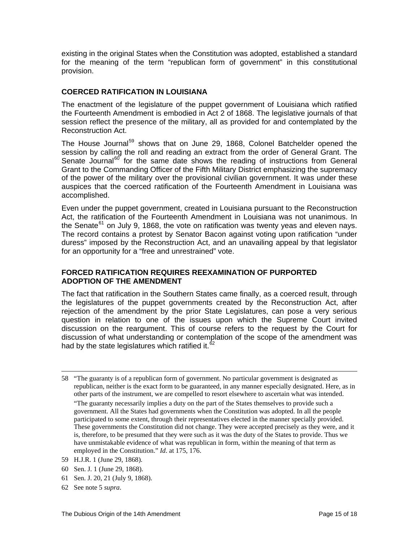existing in the original States when the Constitution was adopted, established a standard for the meaning of the term "republican form of government" in this constitutional provision.

# **COERCED RATIFICATION IN LOUISIANA**

The enactment of the legislature of the puppet government of Louisiana which ratified the Fourteenth Amendment is embodied in Act 2 of 1868. The legislative journals of that session reflect the presence of the military, all as provided for and contemplated by the Reconstruction Act.

The House Journal<sup>[59](#page-14-0)</sup> shows that on June 29, 1868, Colonel Batchelder opened the session by calling the roll and reading an extract from the order of General Grant. The Senate Journal<sup>[60](#page-14-1)</sup> for the same date shows the reading of instructions from General Grant to the Commanding Officer of the Fifth Military District emphasizing the supremacy of the power of the military over the provisional civilian government. It was under these auspices that the coerced ratification of the Fourteenth Amendment in Louisiana was accomplished.

Even under the puppet government, created in Louisiana pursuant to the Reconstruction Act, the ratification of the Fourteenth Amendment in Louisiana was not unanimous. In the Senate<sup>[61](#page-14-2)</sup> on July 9, 1868, the vote on ratification was twenty yeas and eleven nays. The record contains a protest by Senator Bacon against voting upon ratification "under duress" imposed by the Reconstruction Act, and an unavailing appeal by that legislator for an opportunity for a "free and unrestrained" vote.

### **FORCED RATIFICATION REQUIRES REEXAMINATION OF PURPORTED ADOPTION OF THE AMENDMENT**

The fact that ratification in the Southern States came finally, as a coerced result, through the legislatures of the puppet governments created by the Reconstruction Act, after rejection of the amendment by the prior State Legislatures, can pose a very serious question in relation to one of the issues upon which the Supreme Court invited discussion on the reargument. This of course refers to the request by the Court for discussion of what understanding or contemplation of the scope of the amendment was had by the state legislatures which ratified it. $62$ 

- <span id="page-14-0"></span>59 H.J.R. 1 (June 29, 1868).
- <span id="page-14-1"></span>60 Sen. J. 1 (June 29, 1868).
- <span id="page-14-2"></span>61 Sen. J. 20, 21 (July 9, 1868).
- <span id="page-14-3"></span>62 See note 5 *supra*.

<sup>58 &</sup>quot;The guaranty is of a republican form of government. No particular government is designated as republican, neither is the exact form to be guaranteed, in any manner especially designated. Here, as in other parts of the instrument, we are compelled to resort elsewhere to ascertain what was intended. "The guaranty necessarily implies a duty on the part of the States themselves to provide such a government. All the States had governments when the Constitution was adopted. In all the people participated to some extent, through their representatives elected in the manner specially provided. These governments the Constitution did not change. They were accepted precisely as they were, and it is, therefore, to be presumed that they were such as it was the duty of the States to provide. Thus we have unmistakable evidence of what was republican in form, within the meaning of that term as employed in the Constitution." *Id*. at 175, 176.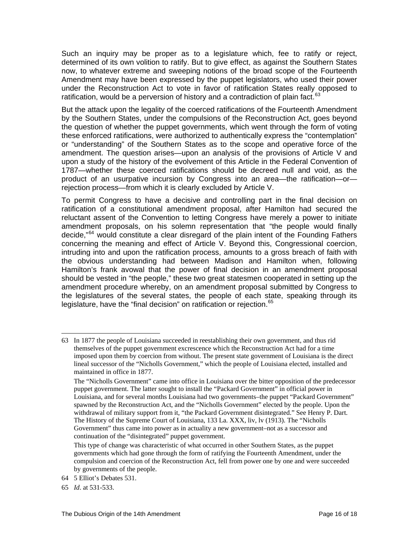Such an inquiry may be proper as to a legislature which, fee to ratify or reject, determined of its own volition to ratify. But to give effect, as against the Southern States now, to whatever extreme and sweeping notions of the broad scope of the Fourteenth Amendment may have been expressed by the puppet legislators, who used their power under the Reconstruction Act to vote in favor of ratification States really opposed to ratification, would be a perversion of history and a contradiction of plain fact. $63$ 

But the attack upon the legality of the coerced ratifications of the Fourteenth Amendment by the Southern States, under the compulsions of the Reconstruction Act, goes beyond the question of whether the puppet governments, which went through the form of voting these enforced ratifications, were authorized to authentically express the "contemplation" or "understanding" of the Southern States as to the scope and operative force of the amendment. The question arises—upon an analysis of the provisions of Article V and upon a study of the history of the evolvement of this Article in the Federal Convention of 1787—whether these coerced ratifications should be decreed null and void, as the product of an usurpative incursion by Congress into an area—the ratification—or rejection process—from which it is clearly excluded by Article V.

To permit Congress to have a decisive and controlling part in the final decision on ratification of a constitutional amendment proposal, after Hamilton had secured the reluctant assent of the Convention to letting Congress have merely a power to initiate amendment proposals, on his solemn representation that "the people would finally decide,"<sup>[64](#page-15-1)</sup> would constitute a clear disregard of the plain intent of the Founding Fathers concerning the meaning and effect of Article V. Beyond this, Congressional coercion, intruding into and upon the ratification process, amounts to a gross breach of faith with the obvious understanding had between Madison and Hamilton when, following Hamilton's frank avowal that the power of final decision in an amendment proposal should be vested in "the people," these two great statesmen cooperated in setting up the amendment procedure whereby, on an amendment proposal submitted by Congress to the legislatures of the several states, the people of each state, speaking through its legislature, have the "final decision" on ratification or rejection.<sup>[65](#page-15-2)</sup>

<span id="page-15-0"></span><sup>63</sup> In 1877 the people of Louisiana succeeded in reestablishing their own government, and thus rid themselves of the puppet government excrescence which the Reconstruction Act had for a time imposed upon them by coercion from without. The present state government of Louisiana is the direct lineal successor of the "Nicholls Government," which the people of Louisiana elected, installed and maintained in office in 1877.

The "Nicholls Government" came into office in Louisiana over the bitter opposition of the predecessor puppet government. The latter sought to install the "Packard Government" in official power in Louisiana, and for several months Louisiana had two governments–the puppet "Packard Government" spawned by the Reconstruction Act, and the "Nicholls Government" elected by the people. Upon the withdrawal of military support from it, "the Packard Government disintegrated." See Henry P. Dart. The History of the Supreme Court of Louisiana, 133 La. XXX, liv, lv (1913). The "Nicholls Government" thus came into power as in actuality a new government–not as a successor and continuation of the "disintegrated" puppet government.

This type of change was characteristic of what occurred in other Southern States, as the puppet governments which had gone through the form of ratifying the Fourteenth Amendment, under the compulsion and coercion of the Reconstruction Act, fell from power one by one and were succeeded by governments of the people.

<span id="page-15-1"></span><sup>64 5</sup> Elliot's Debates 531.

<span id="page-15-2"></span><sup>65</sup> *Id*. at 531-533.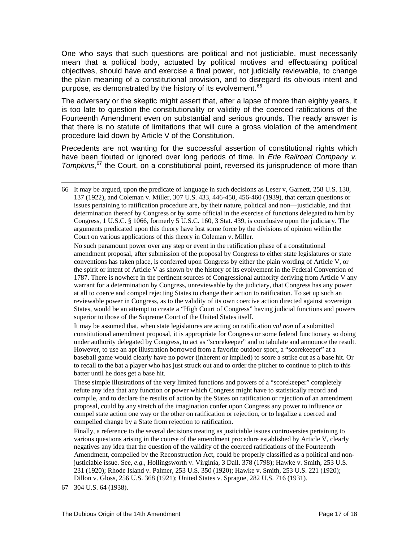One who says that such questions are political and not justiciable, must necessarily mean that a political body, actuated by political motives and effectuating political objectives, should have and exercise a final power, not judicially reviewable, to change the plain meaning of a constitutional provision, and to disregard its obvious intent and purpose, as demonstrated by the history of its evolvement.<sup>[66](#page-16-0)</sup>

The adversary or the skeptic might assert that, after a lapse of more than eighty years, it is too late to question the constitutionality or validity of the coerced ratifications of the Fourteenth Amendment even on substantial and serious grounds. The ready answer is that there is no statute of limitations that will cure a gross violation of the amendment procedure laid down by Article V of the Constitution.

Precedents are not wanting for the successful assertion of constitutional rights which have been flouted or ignored over long periods of time. In *Erie Railroad Company v. Tompkins*, [67](#page-16-1) the Court, on a constitutional point, reversed its jurisprudence of more than

 No such paramount power over any step or event in the ratification phase of a constitutional amendment proposal, after submission of the proposal by Congress to either state legislatures or state conventions has taken place, is conferred upon Congress by either the plain wording of Article V, or the spirit or intent of Article V as shown by the history of its evolvement in the Federal Convention of 1787. There is nowhere in the pertinent sources of Congressional authority deriving from Article V any warrant for a determination by Congress, unreviewable by the judiciary, that Congress has any power at all to coerce and compel rejecting States to change their action to ratification. To set up such an reviewable power in Congress, as to the validity of its own coercive action directed against sovereign States, would be an attempt to create a "High Court of Congress" having judicial functions and powers superior to those of the Supreme Court of the United States itself.

 It may be assumed that, when state legislatures are acting on ratification *vol non* of a submitted constitutional amendment proposal, it is appropriate for Congress or some federal functionary so doing under authority delegated by Congress, to act as "scorekeeper" and to tabulate and announce the result. However, to use an apt illustration borrowed from a favorite outdoor sport, a "scorekeeper" at a baseball game would clearly have no power (inherent or implied) to score a strike out as a base hit. Or to recall to the bat a player who has just struck out and to order the pitcher to continue to pitch to this batter until he does get a base hit.

 These simple illustrations of the very limited functions and powers of a "scorekeeper" completely refute any idea that any function or power which Congress might have to statistically record and compile, and to declare the results of action by the States on ratification or rejection of an amendment proposal, could by any stretch of the imagination confer upon Congress any power to influence or compel state action one way or the other on ratification or rejection, or to legalize a coerced and compelled change by a State from rejection to ratification.

 Finally, a reference to the several decisions treating as justiciable issues controversies pertaining to various questions arising in the course of the amendment procedure established by Article V, clearly negatives any idea that the question of the validity of the coerced ratifications of the Fourteenth Amendment, compelled by the Reconstruction Act, could be properly classified as a political and nonjusticiable issue. See, *e.g.*, Hollingsworth v. Virginia, 3 Dall. 378 (1798); Hawke v. Smith, 253 U.S. 231 (1920); Rhode Island v. Palmer, 253 U.S. 350 (1920); Hawke v. Smith, 253 U.S. 221 (1920); Dillon v. Gloss, 256 U.S. 368 (1921); United States v. Sprague, 282 U.S. 716 (1931).

<span id="page-16-1"></span>67 304 U.S. 64 (1938).

 $\overline{a}$ 

<span id="page-16-0"></span><sup>66</sup> It may be argued, upon the predicate of language in such decisions as Leser v, Garnett, 258 U.S. 130, 137 (1922), and Coleman v. Miller, 307 U.S. 433, 446-450, 456-460 (1939), that certain questions or issues pertaining to ratification procedure are, by their nature, political and non—justiciable, and that determination thereof by Congress or by some official in the exercise of functions delegated to him by Congress, 1 U.S.C. § 1066, formerly 5 U.S.C. 160, 3 Stat. 439, is conclusive upon the judiciary. The arguments predicated upon this theory have lost some force by the divisions of opinion within the Court on various applications of this theory in Coleman v. Miller.